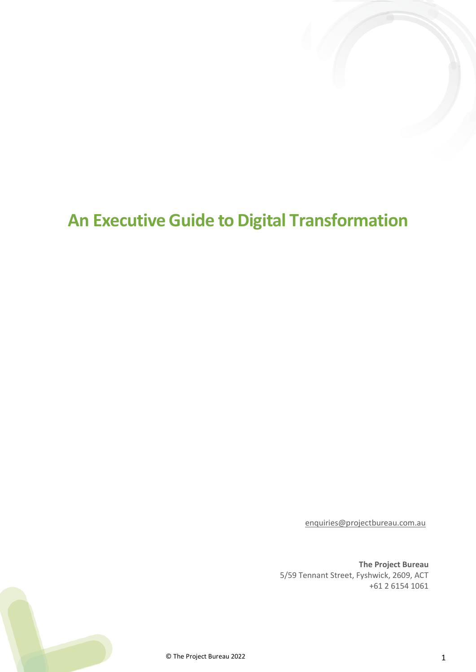# <span id="page-0-0"></span>**An Executive Guide to Digital Transformation**

[enquiries@projectbureau.com.au](mailto:enquiries@projectbureau.com.au)

**The Project Bureau** 5/59 Tennant Street, Fyshwick, 2609, ACT +61 2 6154 1061

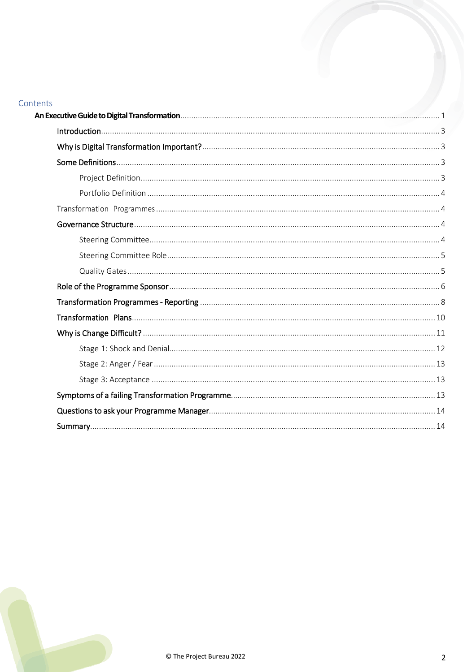# Contents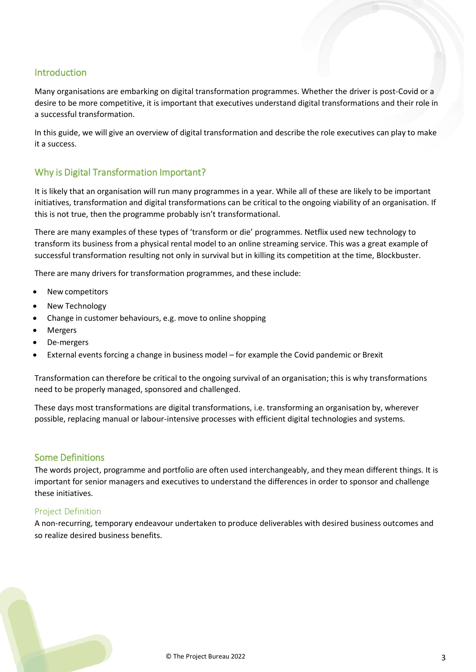## <span id="page-2-0"></span>Introduction

Many organisations are embarking on digital transformation programmes. Whether the driver is post-Covid or a desire to be more competitive, it is important that executives understand digital transformations and their role in a successful transformation.

In this guide, we will give an overview of digital transformation and describe the role executives can play to make it a success.

# <span id="page-2-1"></span>Why is Digital Transformation Important?

It is likely that an organisation will run many programmes in a year. While all of these are likely to be important initiatives, transformation and digital transformations can be critical to the ongoing viability of an organisation. If this is not true, then the programme probably isn't transformational.

There are many examples of these types of 'transform or die' programmes. Netflix used new technology to transform its business from a physical rental model to an online streaming service. This was a great example of successful transformation resulting not only in survival but in killing its competition at the time, Blockbuster.

There are many drivers for transformation programmes, and these include:

- New competitors
- New Technology
- Change in customer behaviours, e.g. move to online shopping
- Mergers
- De-mergers
- External events forcing a change in business model for example the Covid pandemic or Brexit

Transformation can therefore be critical to the ongoing survival of an organisation; this is why transformations need to be properly managed, sponsored and challenged.

These days most transformations are digital transformations, i.e. transforming an organisation by, wherever possible, replacing manual or labour-intensive processes with efficient digital technologies and systems.

## <span id="page-2-2"></span>Some Definitions

The words project, programme and portfolio are often used interchangeably, and they mean different things. It is important for senior managers and executives to understand the differences in order to sponsor and challenge these initiatives.

#### <span id="page-2-3"></span>Project Definition

A non-recurring, temporary endeavour undertaken to produce deliverables with desired business outcomes and so realize desired business benefits.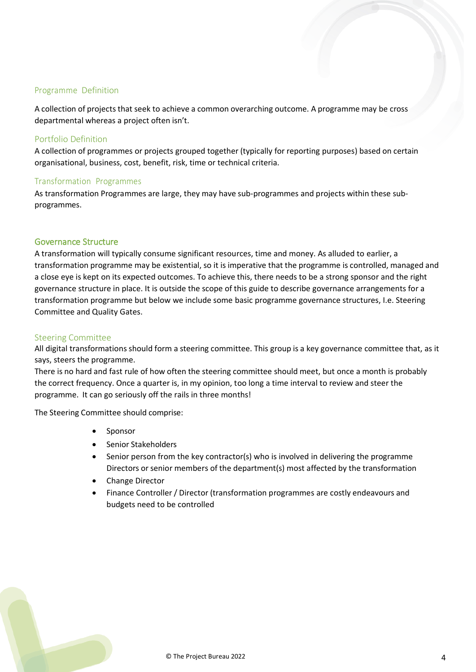#### Programme Definition

A collection of projects that seek to achieve a common overarching outcome. A programme may be cross departmental whereas a project often isn't.

#### <span id="page-3-0"></span>Portfolio Definition

A collection of programmes or projects grouped together (typically for reporting purposes) based on certain organisational, business, cost, benefit, risk, time or technical criteria.

#### <span id="page-3-1"></span>Transformation Programmes

As transformation Programmes are large, they may have sub-programmes and projects within these subprogrammes.

#### <span id="page-3-2"></span>Governance Structure

A transformation will typically consume significant resources, time and money. As alluded to earlier, a transformation programme may be existential, so it is imperative that the programme is controlled, managed and a close eye is kept on its expected outcomes. To achieve this, there needs to be a strong sponsor and the right governance structure in place. It is outside the scope of this guide to describe governance arrangements for a transformation programme but below we include some basic programme governance structures, I.e. Steering Committee and Quality Gates.

#### <span id="page-3-3"></span>Steering Committee

All digital transformations should form a steering committee. This group is a key governance committee that, as it says, steers the programme.

There is no hard and fast rule of how often the steering committee should meet, but once a month is probably the correct frequency. Once a quarter is, in my opinion, too long a time interval to review and steer the programme. It can go seriously off the rails in three months!

The Steering Committee should comprise:

- **Sponsor**
- Senior Stakeholders
- Senior person from the key contractor(s) who is involved in delivering the programme Directors or senior members of the department(s) most affected by the transformation
- Change Director
- Finance Controller / Director (transformation programmes are costly endeavours and budgets need to be controlled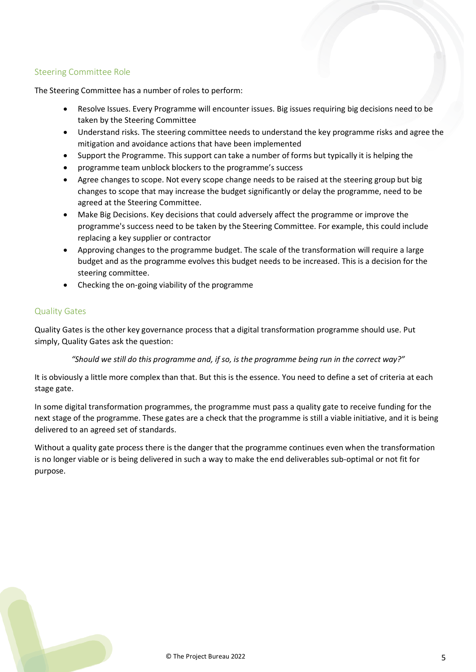## <span id="page-4-0"></span>Steering Committee Role

The Steering Committee has a number of roles to perform:

- Resolve Issues. Every Programme will encounter issues. Big issues requiring big decisions need to be taken by the Steering Committee
- Understand risks. The steering committee needs to understand the key programme risks and agree the mitigation and avoidance actions that have been implemented
- Support the Programme. This support can take a number of forms but typically it is helping the
- programme team unblock blockers to the programme's success
- Agree changes to scope. Not every scope change needs to be raised at the steering group but big changes to scope that may increase the budget significantly or delay the programme, need to be agreed at the Steering Committee.
- Make Big Decisions. Key decisions that could adversely affect the programme or improve the programme's success need to be taken by the Steering Committee. For example, this could include replacing a key supplier or contractor
- Approving changes to the programme budget. The scale of the transformation will require a large budget and as the programme evolves this budget needs to be increased. This is a decision for the steering committee.
- Checking the on-going viability of the programme

#### <span id="page-4-1"></span>Quality Gates

Quality Gates is the other key governance process that a digital transformation programme should use. Put simply, Quality Gates ask the question:

*"Should we still do this programme and, if so, is the programme being run in the correct way?"*

It is obviously a little more complex than that. But this is the essence. You need to define a set of criteria at each stage gate.

In some digital transformation programmes, the programme must pass a quality gate to receive funding for the next stage of the programme. These gates are a check that the programme is still a viable initiative, and it is being delivered to an agreed set of standards.

Without a quality gate process there is the danger that the programme continues even when the transformation is no longer viable or is being delivered in such a way to make the end deliverables sub-optimal or not fit for purpose.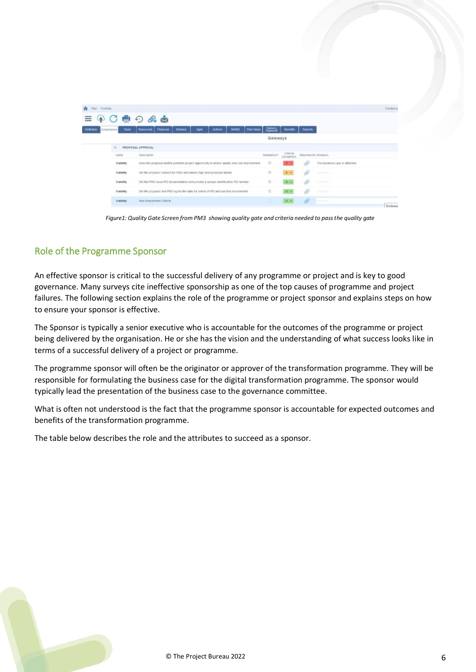| <b>合</b> Plan Portfolio         |             |                                                                                                  |          |       |                |              |            |                      |                        |                      |                               | Partitions                |
|---------------------------------|-------------|--------------------------------------------------------------------------------------------------|----------|-------|----------------|--------------|------------|----------------------|------------------------|----------------------|-------------------------------|---------------------------|
|                                 |             | $\circ$<br>$\mathscr{D}_0$ $\mathbb{R}$                                                          |          |       |                |              |            |                      |                        |                      |                               |                           |
| <b>Definition</b><br>Governance | <b>Team</b> | <b>Resources</b><br><b>Finances</b>                                                              | Delivery | Agile | <b>Actions</b> | <b>RAIDO</b> | Plan Value | Delivery<br>Exposure | <b>Benefits</b>        | <b>Reports</b>       |                               |                           |
|                                 |             |                                                                                                  |          |       |                |              |            | Gateways             |                        |                      |                               |                           |
|                                 | 日           | PROPOSAL APPROVAL                                                                                |          |       |                |              |            |                      |                        |                      |                               |                           |
|                                 | Name        | Description                                                                                      |          |       |                |              |            | Mandatory?           | Criteria<br>Completion | Attachments Evidence |                               |                           |
|                                 | Viability   | Does the proposal identify potential project opportunity to deliver quality and cost improvement |          |       |                |              |            | $\overline{z}$       | R                      | D                    | The business case is attached |                           |
|                                 | Viability   | Did the proposer contact the PMO and advise high level proposal details                          |          |       |                |              |            |                      | Av                     | 6                    | Experience.                   |                           |
|                                 | Viability   | Did the PMO issue PID documentation and provide a unique identification PID number               |          |       |                |              |            | 贾                    | $G - V$                | D                    | Fitzgrow.                     |                           |
|                                 | Viability   | Did the proposer and PMO agree the date for return of PID and was this documented                |          |       |                |              |            | 設                    | $G \vee$               | 0                    | <b>Bionsto</b>                |                           |
|                                 | Viability   | New Assessment Criteria                                                                          |          |       |                |              |            | G                    | $G$ $\vee$             | 6                    | Extraor.                      | $-40 - 2 - 4 - 1 - 1 - 1$ |

*Figure1: Quality Gate Screen from PM3 showing quality gate and criteria needed to passthe quality gate*

## <span id="page-5-0"></span>Role of the Programme Sponsor

An effective sponsor is critical to the successful delivery of any programme or project and is key to good governance. Many surveys cite ineffective sponsorship as one of the top causes of programme and project failures. The following section explains the role of the programme or project sponsor and explains steps on how to ensure your sponsor is effective.

The Sponsor is typically a senior executive who is accountable for the outcomes of the programme or project being delivered by the organisation. He or she has the vision and the understanding of what success looks like in terms of a successful delivery of a project or programme.

The programme sponsor will often be the originator or approver of the transformation programme. They will be responsible for formulating the business case for the digital transformation programme. The sponsor would typically lead the presentation of the business case to the governance committee.

What is often not understood is the fact that the programme sponsor is accountable for expected outcomes and benefits of the transformation programme.

The table below describes the role and the attributes to succeed as a sponsor.

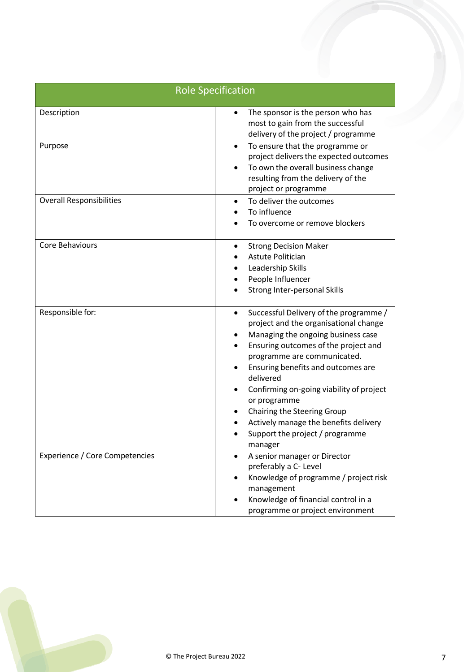|                                       | <b>Role Specification</b>                                                                                                                                                                                                                                                                                                                                                                                                                      |
|---------------------------------------|------------------------------------------------------------------------------------------------------------------------------------------------------------------------------------------------------------------------------------------------------------------------------------------------------------------------------------------------------------------------------------------------------------------------------------------------|
| Description                           | The sponsor is the person who has<br>$\bullet$<br>most to gain from the successful<br>delivery of the project / programme                                                                                                                                                                                                                                                                                                                      |
| Purpose                               | To ensure that the programme or<br>$\bullet$<br>project delivers the expected outcomes<br>To own the overall business change<br>resulting from the delivery of the<br>project or programme                                                                                                                                                                                                                                                     |
| <b>Overall Responsibilities</b>       | To deliver the outcomes<br>$\bullet$<br>To influence<br>To overcome or remove blockers                                                                                                                                                                                                                                                                                                                                                         |
| Core Behaviours                       | <b>Strong Decision Maker</b><br>٠<br><b>Astute Politician</b><br>Leadership Skills<br>People Influencer<br>Strong Inter-personal Skills                                                                                                                                                                                                                                                                                                        |
| Responsible for:                      | Successful Delivery of the programme /<br>$\bullet$<br>project and the organisational change<br>Managing the ongoing business case<br>Ensuring outcomes of the project and<br>programme are communicated.<br>Ensuring benefits and outcomes are<br>delivered<br>Confirming on-going viability of project<br>or programme<br>Chairing the Steering Group<br>Actively manage the benefits delivery<br>Support the project / programme<br>manager |
| <b>Experience / Core Competencies</b> | A senior manager or Director<br>preferably a C- Level<br>Knowledge of programme / project risk<br>management<br>Knowledge of financial control in a<br>programme or project environment                                                                                                                                                                                                                                                        |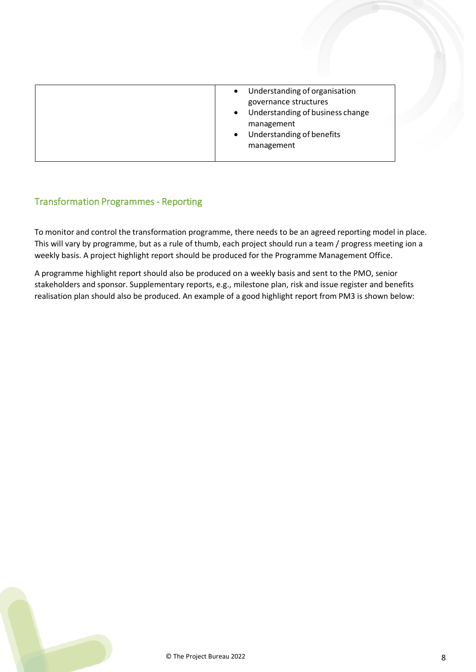# <span id="page-7-0"></span>Transformation Programmes - Reporting

To monitor and control the transformation programme, there needs to be an agreed reporting model in place. This will vary by programme, but as a rule of thumb, each project should run a team / progress meeting ion a weekly basis. A project highlight report should be produced for the Programme Management Office.

A programme highlight report should also be produced on a weekly basis and sent to the PMO, senior stakeholders and sponsor. Supplementary reports, e.g., milestone plan, risk and issue register and benefits realisation plan should also be produced. An example of a good highlight report from PM3 is shown below: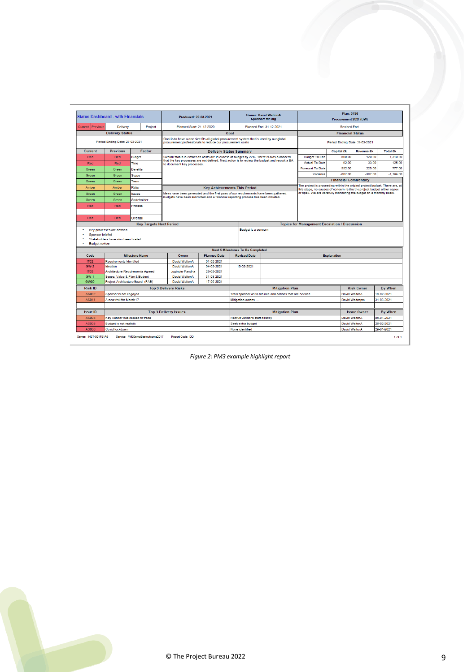| <b>Status Dashboard - with Financials</b>      |                                                   |                                         | Produced: 22-03-2021                                                                                                                                  |                          |                                          | <b>Owner: David WaltonA</b><br><b>Sponsor: Mr Big</b>    | Plan: 3196<br>Procurement 2021 (DW)                                                                                                            |                                |                    |                          |  |
|------------------------------------------------|---------------------------------------------------|-----------------------------------------|-------------------------------------------------------------------------------------------------------------------------------------------------------|--------------------------|------------------------------------------|----------------------------------------------------------|------------------------------------------------------------------------------------------------------------------------------------------------|--------------------------------|--------------------|--------------------------|--|
| Current<br>Previous                            | Delivery                                          | Project                                 | Planned Start: 21-12-2020                                                                                                                             |                          |                                          | Planned End: 31-12-2021                                  | <b>Revised End:</b>                                                                                                                            |                                |                    |                          |  |
|                                                | <b>Delivery Status</b>                            |                                         | Goal                                                                                                                                                  |                          |                                          |                                                          |                                                                                                                                                | <b>Financial Status</b>        |                    |                          |  |
|                                                | Period Ending Date: 27-03-2021                    |                                         | Goal is to have a one size fits all global procurement system that is used by our global<br>procurement professionals to reduce our procurement costs |                          |                                          |                                                          |                                                                                                                                                | Period Ending Date: 31-03-2021 |                    |                          |  |
| Current                                        | <b>Previous</b>                                   | Factor                                  |                                                                                                                                                       |                          | <b>Delivery Status Summary</b>           |                                                          |                                                                                                                                                | <b>Capital £k</b>              | <b>Revenue £k</b>  | <b>Total £k</b>          |  |
| Red                                            | Red                                               | <b>Budget</b>                           | Overall status is Amber as costs are in excess of budget by 22%. There is alos a concern                                                              |                          |                                          |                                                          | <b>Budget To End</b>                                                                                                                           | 899.00                         | 420.00             | 1,319.00                 |  |
| Red                                            | Red                                               | Time                                    | that the key processes are not defined. Next action is to review the budget and recruit a BA<br>to document key processes.                            |                          |                                          |                                                          | <b>Actual To Date</b>                                                                                                                          | 92.00                          | 33.00              | 125.00                   |  |
| Green                                          | Green                                             | <b>Benefits</b>                         |                                                                                                                                                       |                          |                                          |                                                          | <b>Forecast To Date</b>                                                                                                                        | 552.00                         | 225.00             | 777.00                   |  |
| Green                                          | Green                                             | Scope                                   |                                                                                                                                                       |                          |                                          |                                                          | Variance                                                                                                                                       | $-807.00$                      | $-387.00$          | $-1.194.00$              |  |
| Green                                          | Green                                             | Team                                    |                                                                                                                                                       |                          |                                          |                                                          |                                                                                                                                                | <b>Financial Commentary</b>    |                    |                          |  |
| Amber                                          | Amber                                             | <b>Risks</b>                            |                                                                                                                                                       |                          | <b>Key Achievements This Period</b>      |                                                          | The project is proceeding within the original project budget. There are, at                                                                    |                                |                    |                          |  |
| Green                                          | Green                                             | <b>Issues</b>                           | ideas have been generated and the first pass of our requirements have been gathered.                                                                  |                          |                                          |                                                          | this stage, no causes of concern re the the project budget either capex<br>or opex. We are carefully monitoring the budget on a monthly basis. |                                |                    |                          |  |
| Green                                          | Green                                             | Stakeholder                             | Budgets have been submitted and a financial reporting process has been initiated.                                                                     |                          |                                          |                                                          |                                                                                                                                                |                                |                    |                          |  |
| Red                                            | Red                                               | Process                                 |                                                                                                                                                       |                          |                                          |                                                          |                                                                                                                                                |                                |                    |                          |  |
|                                                |                                                   |                                         |                                                                                                                                                       |                          |                                          |                                                          |                                                                                                                                                |                                |                    |                          |  |
| Red                                            | Red                                               | Overall                                 |                                                                                                                                                       |                          |                                          |                                                          |                                                                                                                                                |                                |                    |                          |  |
|                                                |                                                   | <b>Key Targets Next Period</b>          |                                                                                                                                                       |                          |                                          |                                                          | <b>Topics for Management Escalation / Discussion</b>                                                                                           |                                |                    |                          |  |
| <b>Sponsor briefed</b><br><b>Budget review</b> | Stakeholders have also been briefed               |                                         |                                                                                                                                                       |                          |                                          |                                                          |                                                                                                                                                |                                |                    |                          |  |
|                                                |                                                   |                                         |                                                                                                                                                       |                          | <b>Next 5 Milestones To Be Completed</b> |                                                          |                                                                                                                                                |                                |                    |                          |  |
| Code                                           |                                                   | <b>Milestone Name</b>                   | Owner                                                                                                                                                 | <b>Planned Date</b>      | <b>Revised Date</b>                      |                                                          |                                                                                                                                                | <b>Explanation</b>             |                    |                          |  |
| <b>IT02</b>                                    | <b>Requirements Identified</b>                    |                                         | David WaltonA                                                                                                                                         | 01-02-2021               |                                          |                                                          |                                                                                                                                                |                                |                    |                          |  |
| <b>GW-2</b>                                    | Ideation                                          |                                         | David WaltonA                                                                                                                                         | 04-02-2021               | 15-02-2021                               |                                                          |                                                                                                                                                |                                |                    |                          |  |
| <b>IT05</b><br>GW-1                            | Scope, Value & Plan & Budget                      | <b>Architecture Requirements Agreed</b> | Joginder Pandha<br><b>David WaltonA</b>                                                                                                               | 26-02-2021<br>31-03-2021 |                                          |                                                          |                                                                                                                                                |                                |                    |                          |  |
|                                                |                                                   |                                         |                                                                                                                                                       |                          |                                          |                                                          |                                                                                                                                                |                                |                    |                          |  |
|                                                |                                                   |                                         |                                                                                                                                                       |                          |                                          |                                                          |                                                                                                                                                |                                |                    |                          |  |
| GW00                                           |                                                   | Project Architecture Board (PAB)        | David WaltonA                                                                                                                                         | 17-06-2021               |                                          |                                                          |                                                                                                                                                |                                |                    |                          |  |
| <b>Risk ID</b><br>AS002                        |                                                   |                                         | <b>Top 3 Delivery Risks</b>                                                                                                                           |                          |                                          | <b>Mitigation Plan</b>                                   |                                                                                                                                                |                                | <b>Risk Owner</b>  | <b>By When</b>           |  |
| <b>AS014</b>                                   | Sponsor is not engaged<br>A new risk for March 17 |                                         |                                                                                                                                                       |                          | Mitigation actons                        | Train sponsor as to his role and actions that are needed |                                                                                                                                                | David WaltonA                  | David Waltonpm     | 18-02-2021<br>31-03-2021 |  |
|                                                |                                                   |                                         |                                                                                                                                                       |                          |                                          |                                                          |                                                                                                                                                |                                |                    |                          |  |
| <b>Issue ID</b>                                |                                                   |                                         | <b>Top 3 Delivery Issues</b>                                                                                                                          |                          |                                          | <b>Mitigation Plan</b>                                   |                                                                                                                                                |                                | <b>Issue Owner</b> | <b>By When</b>           |  |
| AS003                                          | Key Vendor has ceased to trade                    |                                         |                                                                                                                                                       |                          | Recruit vendor's staff directly          |                                                          |                                                                                                                                                | <b>David WaltonA</b>           |                    | 06-01-2021               |  |
| <b>AS005</b>                                   | <b>Budget is not realistic</b>                    |                                         |                                                                                                                                                       |                          | Seek extra budget                        |                                                          |                                                                                                                                                | David WaltonA                  |                    | 26-02-2021               |  |
| <b>AS006</b>                                   | Covid lockdown                                    |                                         |                                                                                                                                                       |                          | None identified                          |                                                          |                                                                                                                                                | David WaltonA                  |                    | 29-01-2021               |  |

*Figure 2: PM3 example highlight report*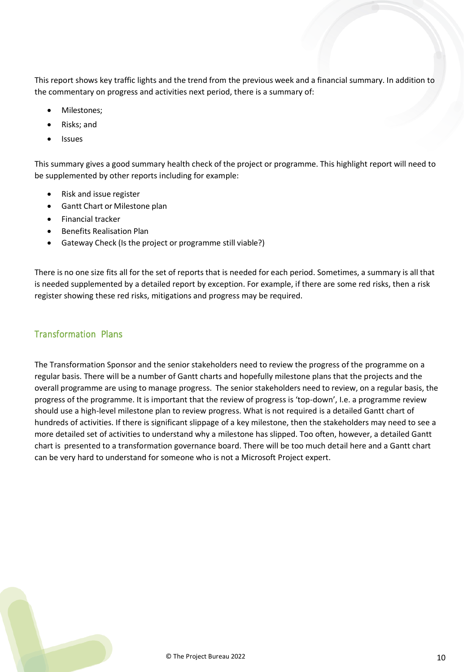This report shows key traffic lights and the trend from the previous week and a financial summary. In addition to the commentary on progress and activities next period, there is a summary of:

- Milestones;
- Risks; and
- Issues

This summary gives a good summary health check of the project or programme. This highlight report will need to be supplemented by other reports including for example:

- Risk and issue register
- Gantt Chart or Milestone plan
- Financial tracker
- Benefits Realisation Plan
- Gateway Check (Is the project or programme still viable?)

There is no one size fits all for the set of reports that is needed for each period. Sometimes, a summary is all that is needed supplemented by a detailed report by exception. For example, if there are some red risks, then a risk register showing these red risks, mitigations and progress may be required.

## <span id="page-9-0"></span>Transformation Plans

The Transformation Sponsor and the senior stakeholders need to review the progress of the programme on a regular basis. There will be a number of Gantt charts and hopefully milestone plans that the projects and the overall programme are using to manage progress. The senior stakeholders need to review, on a regular basis, the progress of the programme. It is important that the review of progress is 'top-down', I.e. a programme review should use a high-level milestone plan to review progress. What is not required is a detailed Gantt chart of hundreds of activities. If there is significant slippage of a key milestone, then the stakeholders may need to see a more detailed set of activities to understand why a milestone has slipped. Too often, however, a detailed Gantt chart is presented to a transformation governance board. There will be too much detail here and a Gantt chart can be very hard to understand for someone who is not a Microsoft Project expert.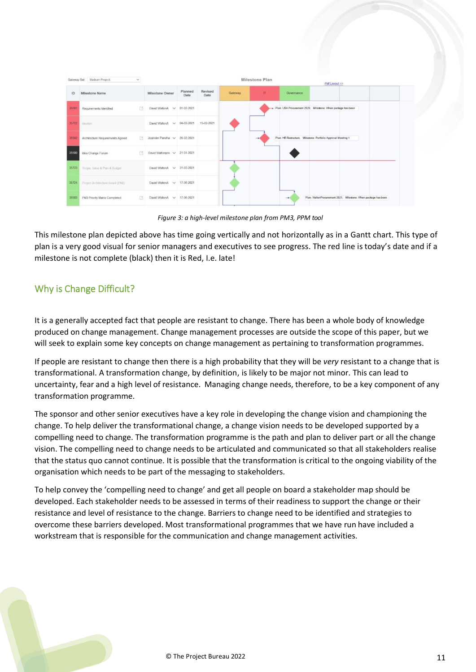|       | Gateway Set: Medium Project      | $\sim$ |                                       |                 |                 |         | Milestone Plan | Pdf Layout >>                                                                   |  |
|-------|----------------------------------|--------|---------------------------------------|-----------------|-----------------|---------|----------------|---------------------------------------------------------------------------------|--|
| ID    | Milestone Name                   |        | Milestone Owner                       | Planned<br>Date | Revised<br>Date | Gateway | IT.            | Governance                                                                      |  |
| 35581 | Requirements Identified          | 日      | David WaltonA v 01-02-2021            |                 |                 |         |                | Plan: USA Procurement 2020. Milestone: Vihen package has been                   |  |
|       | 35722 Ideation                   |        | David WaltonA v 04-02-2021 15-02-2021 |                 |                 |         |                |                                                                                 |  |
| 35582 | Architecture Requirements Agreed |        | Joginder Pandha v 26-02-2021          |                 |                 |         | --             | Plan: HR Restructure, Milestone: Portfolio Approval Meeting 1                   |  |
| 35580 | Idea Change Forum                | 团      | David Waltonpm > 21-01-2021           |                 |                 |         |                |                                                                                 |  |
| 35723 | Scope, Value & Plan & Budget     |        | David WaltonA $\sqrt{31-03-2021}$     |                 |                 |         |                |                                                                                 |  |
| 35724 | Project Architecture Board (PAB) |        | David WaltonA v 17-06-2021            |                 |                 |         |                |                                                                                 |  |
| 35583 | PM3 Priority Matrix Completed    | 同      | David WaltonA v 17-06-2021            |                 |                 |         |                | Plan: WaltonProcurement 2021, Milestone: When package has been<br>$\rightarrow$ |  |

*Figure 3: a high-level milestone plan from PM3, PPM tool*

This milestone plan depicted above has time going vertically and not horizontally as in a Gantt chart. This type of plan is a very good visual for senior managers and executives to see progress. The red line is today's date and if a milestone is not complete (black) then it is Red, I.e. late!

# <span id="page-10-0"></span>Why is Change Difficult?

It is a generally accepted fact that people are resistant to change. There has been a whole body of knowledge produced on change management. Change management processes are outside the scope of this paper, but we will seek to explain some key concepts on change management as pertaining to transformation programmes.

If people are resistant to change then there is a high probability that they will be *very* resistant to a change that is transformational. A transformation change, by definition, is likely to be major not minor. This can lead to uncertainty, fear and a high level of resistance. Managing change needs, therefore, to be a key component of any transformation programme.

The sponsor and other senior executives have a key role in developing the change vision and championing the change. To help deliver the transformational change, a change vision needs to be developed supported by a compelling need to change. The transformation programme is the path and plan to deliver part or all the change vision. The compelling need to change needs to be articulated and communicated so that all stakeholders realise that the status quo cannot continue. It is possible that the transformation is critical to the ongoing viability of the organisation which needs to be part of the messaging to stakeholders.

To help convey the 'compelling need to change' and get all people on board a stakeholder map should be developed. Each stakeholder needs to be assessed in terms of their readiness to support the change or their resistance and level of resistance to the change. Barriers to change need to be identified and strategies to overcome these barriers developed. Most transformational programmes that we have run have included a workstream that is responsible for the communication and change management activities.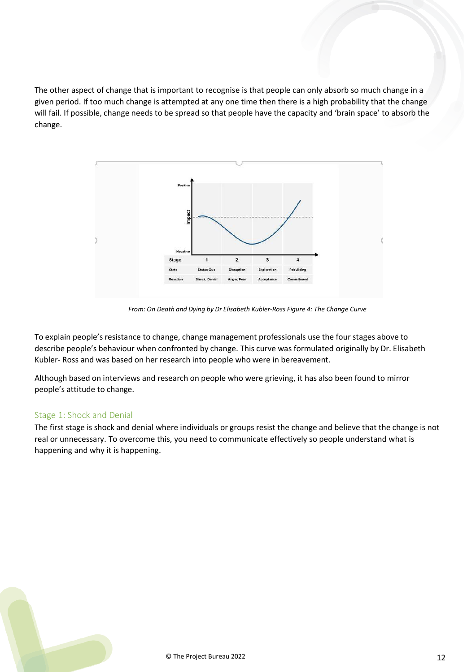The other aspect of change that is important to recognise is that people can only absorb so much change in a given period. If too much change is attempted at any one time then there is a high probability that the change will fail. If possible, change needs to be spread so that people have the capacity and 'brain space' to absorb the change.



*From: On Death and Dying by Dr Elisabeth Kubler-Ross Figure 4: The Change Curve*

To explain people's resistance to change, change management professionals use the four stages above to describe people's behaviour when confronted by change. This curve was formulated originally by Dr. Elisabeth Kubler- Ross and was based on her research into people who were in bereavement.

Although based on interviews and research on people who were grieving, it has also been found to mirror people's attitude to change.

#### <span id="page-11-0"></span>Stage 1: Shock and Denial

The first stage is shock and denial where individuals or groups resist the change and believe that the change is not real or unnecessary. To overcome this, you need to communicate effectively so people understand what is happening and why it is happening.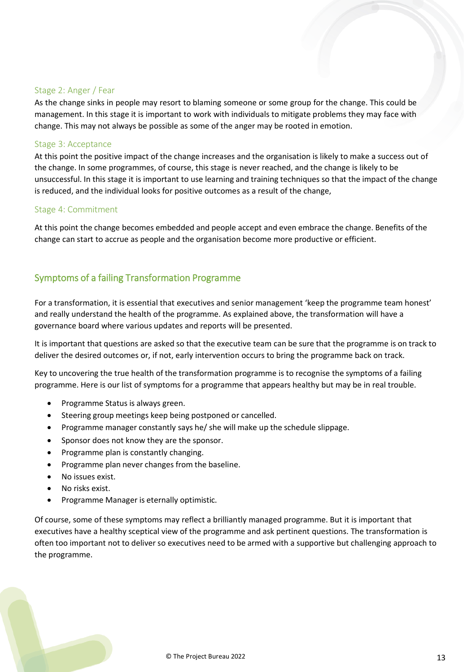#### <span id="page-12-0"></span>Stage 2: Anger / Fear

As the change sinks in people may resort to blaming someone or some group for the change. This could be management. In this stage it is important to work with individuals to mitigate problems they may face with change. This may not always be possible as some of the anger may be rooted in emotion.

#### <span id="page-12-1"></span>Stage 3: Acceptance

At this point the positive impact of the change increases and the organisation is likely to make a success out of the change. In some programmes, of course, this stage is never reached, and the change is likely to be unsuccessful. In this stage it is important to use learning and training techniques so that the impact of the change is reduced, and the individual looks for positive outcomes as a result of the change,

#### Stage 4: Commitment

At this point the change becomes embedded and people accept and even embrace the change. Benefits of the change can start to accrue as people and the organisation become more productive or efficient.

## <span id="page-12-2"></span>Symptoms of a failing Transformation Programme

For a transformation, it is essential that executives and senior management 'keep the programme team honest' and really understand the health of the programme. As explained above, the transformation will have a governance board where various updates and reports will be presented.

It is important that questions are asked so that the executive team can be sure that the programme is on track to deliver the desired outcomes or, if not, early intervention occurs to bring the programme back on track.

Key to uncovering the true health of the transformation programme is to recognise the symptoms of a failing programme. Here is our list of symptoms for a programme that appears healthy but may be in real trouble.

- Programme Status is always green.
- Steering group meetings keep being postponed or cancelled.
- Programme manager constantly says he/ she will make up the schedule slippage.
- Sponsor does not know they are the sponsor.
- Programme plan is constantly changing.
- Programme plan never changes from the baseline.
- No issues exist.
- No risks exist.
- Programme Manager is eternally optimistic.

Of course, some of these symptoms may reflect a brilliantly managed programme. But it is important that executives have a healthy sceptical view of the programme and ask pertinent questions. The transformation is often too important not to deliver so executives need to be armed with a supportive but challenging approach to the programme.